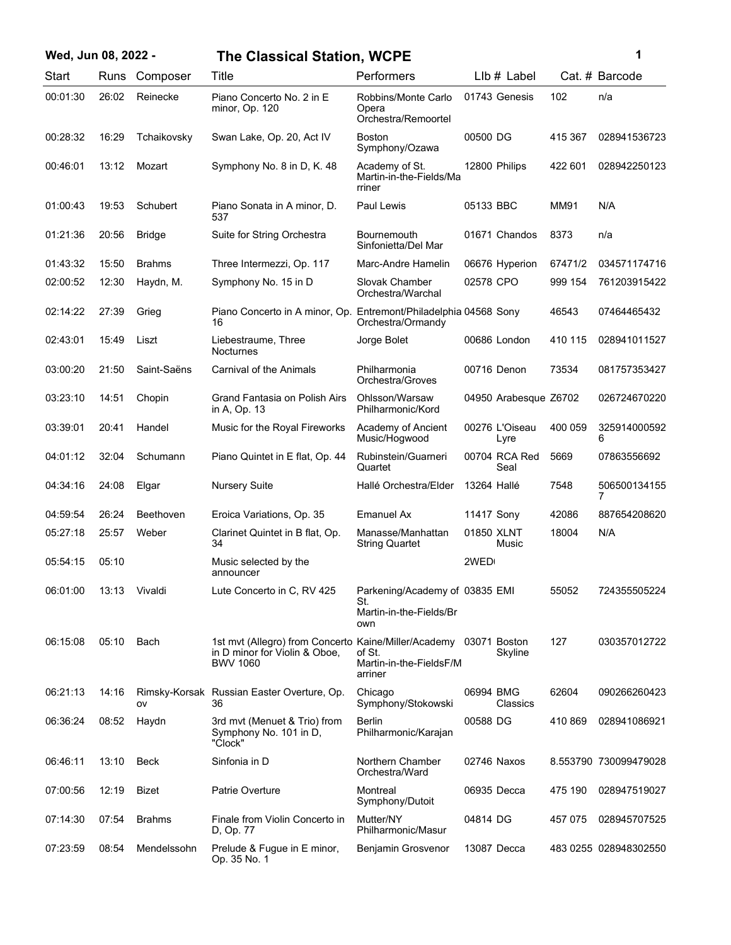| Wed, Jun 08, 2022 - |          |       |               | <b>The Classical Station, WCPE</b>                                                                                    |                                                                         |               |                        |         | 1                     |
|---------------------|----------|-------|---------------|-----------------------------------------------------------------------------------------------------------------------|-------------------------------------------------------------------------|---------------|------------------------|---------|-----------------------|
|                     | Start    |       | Runs Composer | Title                                                                                                                 | Performers                                                              |               | Llb # Label            |         | Cat. # Barcode        |
|                     | 00:01:30 | 26:02 | Reinecke      | Piano Concerto No. 2 in E<br>minor, Op. 120                                                                           | Robbins/Monte Carlo<br>Opera<br>Orchestra/Remoortel                     |               | 01743 Genesis          | 102     | n/a                   |
|                     | 00:28:32 | 16:29 | Tchaikovsky   | Swan Lake, Op. 20, Act IV                                                                                             | <b>Boston</b><br>Symphony/Ozawa                                         | 00500 DG      |                        | 415 367 | 028941536723          |
|                     | 00:46:01 | 13:12 | Mozart        | Symphony No. 8 in D, K. 48                                                                                            | Academy of St.<br>Martin-in-the-Fields/Ma<br>rriner                     | 12800 Philips |                        | 422 601 | 028942250123          |
|                     | 01:00:43 | 19:53 | Schubert      | Piano Sonata in A minor, D.<br>537                                                                                    | Paul Lewis                                                              | 05133 BBC     |                        | MM91    | N/A                   |
|                     | 01:21:36 | 20:56 | <b>Bridge</b> | Suite for String Orchestra                                                                                            | Bournemouth<br>Sinfonietta/Del Mar                                      |               | 01671 Chandos          | 8373    | n/a                   |
|                     | 01:43:32 | 15:50 | <b>Brahms</b> | Three Intermezzi, Op. 117                                                                                             | Marc-Andre Hamelin                                                      |               | 06676 Hyperion         | 67471/2 | 034571174716          |
|                     | 02:00:52 | 12:30 | Haydn, M.     | Symphony No. 15 in D                                                                                                  | Slovak Chamber<br>Orchestra/Warchal                                     | 02578 CPO     |                        | 999 154 | 761203915422          |
|                     | 02:14:22 | 27:39 | Grieg         | Piano Concerto in A minor, Op. Entremont/Philadelphia 04568 Sony<br>16                                                | Orchestra/Ormandy                                                       |               |                        | 46543   | 07464465432           |
|                     | 02:43:01 | 15:49 | Liszt         | Liebestraume, Three<br><b>Nocturnes</b>                                                                               | Jorge Bolet                                                             |               | 00686 London           | 410 115 | 028941011527          |
|                     | 03:00:20 | 21:50 | Saint-Saëns   | <b>Carnival of the Animals</b>                                                                                        | Philharmonia<br>Orchestra/Groves                                        | 00716 Denon   |                        | 73534   | 081757353427          |
|                     | 03:23:10 | 14:51 | Chopin        | Grand Fantasia on Polish Airs<br>in A, Op. 13                                                                         | Ohlsson/Warsaw<br>Philharmonic/Kord                                     |               | 04950 Arabesque Z6702  |         | 026724670220          |
|                     | 03:39:01 | 20:41 | Handel        | Music for the Royal Fireworks                                                                                         | Academy of Ancient<br>Music/Hogwood                                     |               | 00276 L'Oiseau<br>Lyre | 400 059 | 325914000592<br>6     |
|                     | 04:01:12 | 32:04 | Schumann      | Piano Quintet in E flat, Op. 44                                                                                       | Rubinstein/Guarneri<br>Quartet                                          |               | 00704 RCA Red<br>Seal  | 5669    | 07863556692           |
|                     | 04:34:16 | 24:08 | Elgar         | <b>Nursery Suite</b>                                                                                                  | Hallé Orchestra/Elder                                                   | 13264 Hallé   |                        | 7548    | 506500134155<br>7     |
|                     | 04:59:54 | 26:24 | Beethoven     | Eroica Variations, Op. 35                                                                                             | Emanuel Ax                                                              | 11417 Sony    |                        | 42086   | 887654208620          |
|                     | 05:27:18 | 25:57 | Weber         | Clarinet Quintet in B flat, Op.<br>34                                                                                 | Manasse/Manhattan<br><b>String Quartet</b>                              | 01850 XLNT    | Music                  | 18004   | N/A                   |
|                     | 05:54:15 | 05:10 |               | Music selected by the<br>announcer                                                                                    |                                                                         | 2WED          |                        |         |                       |
|                     | 06:01:00 | 13:13 | Vivaldi       | Lute Concerto in C, RV 425                                                                                            | Parkening/Academy of 03835 EMI<br>St.<br>Martin-in-the-Fields/Br<br>own |               |                        | 55052   | 724355505224          |
|                     | 06:15:08 | 05:10 | Bach          | 1st mvt (Allegro) from Concerto Kaine/Miller/Academy 03071 Boston<br>in D minor for Violin & Oboe,<br><b>BWV 1060</b> | of St.<br>Martin-in-the-FieldsF/M<br>arriner                            |               | Skyline                | 127     | 030357012722          |
|                     | 06:21:13 | 14:16 | ov            | Rimsky-Korsak Russian Easter Overture, Op.<br>36                                                                      | Chicago<br>Symphony/Stokowski                                           | 06994 BMG     | Classics               | 62604   | 090266260423          |
|                     | 06:36:24 | 08:52 | Haydn         | 3rd mvt (Menuet & Trio) from<br>Symphony No. 101 in D.<br>"Clock"                                                     | <b>Berlin</b><br>Philharmonic/Karajan                                   | 00588 DG      |                        | 410 869 | 028941086921          |
|                     | 06:46:11 | 13:10 | <b>Beck</b>   | Sinfonia in D                                                                                                         | Northern Chamber<br>Orchestra/Ward                                      | 02746 Naxos   |                        |         | 8.553790 730099479028 |
|                     | 07:00:56 | 12:19 | Bizet         | Patrie Overture                                                                                                       | Montreal<br>Symphony/Dutoit                                             | 06935 Decca   |                        | 475 190 | 028947519027          |
|                     | 07:14:30 | 07:54 | <b>Brahms</b> | Finale from Violin Concerto in<br>D, Op. 77                                                                           | Mutter/NY<br>Philharmonic/Masur                                         | 04814 DG      |                        | 457 075 | 028945707525          |
|                     | 07:23:59 | 08:54 | Mendelssohn   | Prelude & Fugue in E minor,<br>Op. 35 No. 1                                                                           | Benjamin Grosvenor                                                      | 13087 Decca   |                        |         | 483 0255 028948302550 |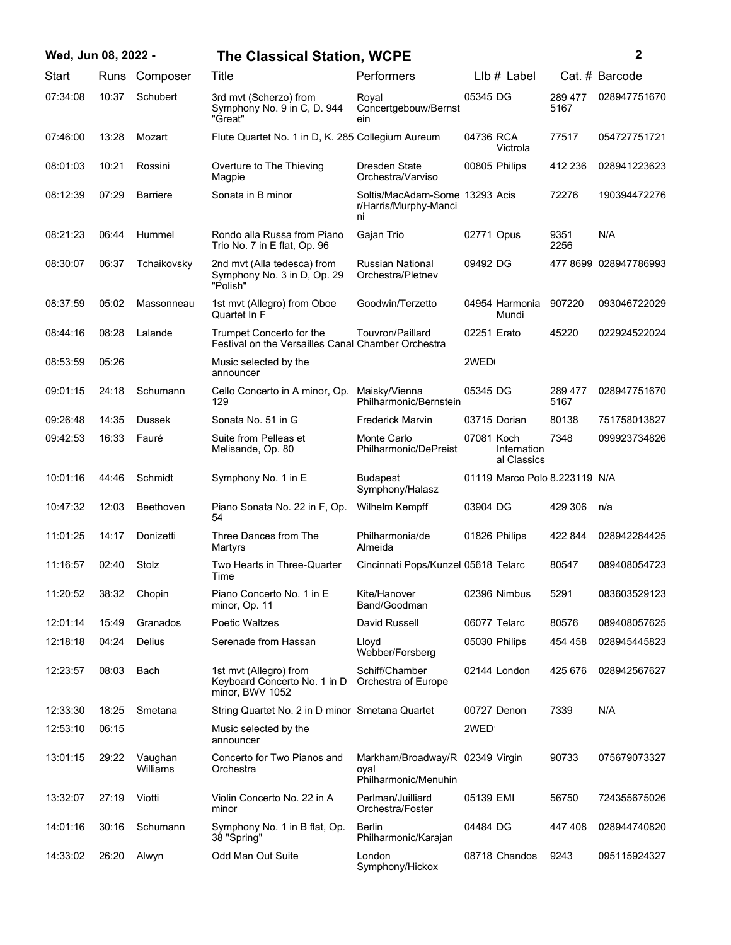| Wed, Jun 08, 2022 - |       |                     | <b>The Classical Station, WCPE</b>                                             |                                                                 |              |                               |                 | 2                     |
|---------------------|-------|---------------------|--------------------------------------------------------------------------------|-----------------------------------------------------------------|--------------|-------------------------------|-----------------|-----------------------|
| Start               |       | Runs Composer       | Title                                                                          | Performers                                                      |              | LIb # Label                   |                 | Cat. # Barcode        |
| 07:34:08            | 10:37 | Schubert            | 3rd mvt (Scherzo) from<br>Symphony No. 9 in C, D. 944<br>"Great"               | Royal<br>Concertgebouw/Bernst<br>ein                            | 05345 DG     |                               | 289 477<br>5167 | 028947751670          |
| 07:46:00            | 13:28 | Mozart              | Flute Quartet No. 1 in D, K. 285 Collegium Aureum                              |                                                                 | 04736 RCA    | Victrola                      | 77517           | 054727751721          |
| 08:01:03            | 10:21 | Rossini             | Overture to The Thieving<br>Magpie                                             | Dresden State<br>Orchestra/Varviso                              |              | 00805 Philips                 | 412 236         | 028941223623          |
| 08:12:39            | 07:29 | <b>Barriere</b>     | Sonata in B minor                                                              | Soltis/MacAdam-Some 13293 Acis<br>r/Harris/Murphy-Manci<br>ni   |              |                               | 72276           | 190394472276          |
| 08:21:23            | 06:44 | Hummel              | Rondo alla Russa from Piano<br>Trio No. 7 in E flat, Op. 96                    | Gajan Trio                                                      | 02771 Opus   |                               | 9351<br>2256    | N/A                   |
| 08:30:07            | 06:37 | Tchaikovsky         | 2nd mvt (Alla tedesca) from<br>Symphony No. 3 in D, Op. 29<br>"Polish"         | Russian National<br>Orchestra/Pletnev                           | 09492 DG     |                               |                 | 477 8699 028947786993 |
| 08:37:59            | 05:02 | Massonneau          | 1st mvt (Allegro) from Oboe<br>Quartet In F                                    | Goodwin/Terzetto                                                |              | 04954 Harmonia<br>Mundi       | 907220          | 093046722029          |
| 08:44:16            | 08:28 | Lalande             | Trumpet Concerto for the<br>Festival on the Versailles Canal Chamber Orchestra | Touvron/Paillard                                                | 02251 Erato  |                               | 45220           | 022924522024          |
| 08:53:59            | 05:26 |                     | Music selected by the<br>announcer                                             |                                                                 | 2WED         |                               |                 |                       |
| 09:01:15            | 24:18 | Schumann            | Cello Concerto in A minor, Op.<br>129                                          | Maisky/Vienna<br>Philharmonic/Bernstein                         | 05345 DG     |                               | 289 477<br>5167 | 028947751670          |
| 09:26:48            | 14:35 | <b>Dussek</b>       | Sonata No. 51 in G                                                             | <b>Frederick Marvin</b>                                         |              | 03715 Dorian                  | 80138           | 751758013827          |
| 09:42:53            | 16:33 | Fauré               | Suite from Pelleas et<br>Melisande, Op. 80                                     | Monte Carlo<br>Philharmonic/DePreist                            | 07081 Koch   | Internation<br>al Classics    | 7348            | 099923734826          |
| 10:01:16            | 44:46 | Schmidt             | Symphony No. 1 in E                                                            | <b>Budapest</b><br>Symphony/Halasz                              |              | 01119 Marco Polo 8.223119 N/A |                 |                       |
| 10:47:32            | 12:03 | <b>Beethoven</b>    | Piano Sonata No. 22 in F, Op.<br>54                                            | Wilhelm Kempff                                                  | 03904 DG     |                               | 429 306         | n/a                   |
| 11:01:25            | 14:17 | Donizetti           | Three Dances from The<br>Martyrs                                               | Philharmonia/de<br>Almeida                                      |              | 01826 Philips                 | 422 844         | 028942284425          |
| 11:16:57            | 02:40 | Stolz               | Two Hearts in Three-Quarter<br>Time                                            | Cincinnati Pops/Kunzel 05618 Telarc                             |              |                               | 80547           | 089408054723          |
| 11:20:52            | 38:32 | Chopin              | Piano Concerto No. 1 in E<br>minor, Op. 11                                     | Kite/Hanover<br>Band/Goodman                                    |              | 02396 Nimbus                  | 5291            | 083603529123          |
| 12:01:14            | 15:49 | Granados            | Poetic Waltzes                                                                 | David Russell                                                   | 06077 Telarc |                               | 80576           | 089408057625          |
| 12:18:18            | 04:24 | Delius              | Serenade from Hassan                                                           | Lloyd<br>Webber/Forsberg                                        |              | 05030 Philips                 | 454 458         | 028945445823          |
| 12:23:57            | 08:03 | Bach                | 1st mvt (Allegro) from<br>Keyboard Concerto No. 1 in D<br>minor. BWV 1052      | Schiff/Chamber<br>Orchestra of Europe                           |              | 02144 London                  | 425 676         | 028942567627          |
| 12:33:30            | 18:25 | Smetana             | String Quartet No. 2 in D minor Smetana Quartet                                |                                                                 |              | 00727 Denon                   | 7339            | N/A                   |
| 12:53:10            | 06:15 |                     | Music selected by the<br>announcer                                             |                                                                 | 2WED         |                               |                 |                       |
| 13:01:15            | 29:22 | Vaughan<br>Williams | Concerto for Two Pianos and<br>Orchestra                                       | Markham/Broadway/R 02349 Virgin<br>oyal<br>Philharmonic/Menuhin |              |                               | 90733           | 075679073327          |
| 13:32:07            | 27:19 | Viotti              | Violin Concerto No. 22 in A<br>minor                                           | Perlman/Juilliard<br>Orchestra/Foster                           | 05139 EMI    |                               | 56750           | 724355675026          |
| 14:01:16            | 30:16 | Schumann            | Symphony No. 1 in B flat, Op.<br>38 "Spring"                                   | Berlin<br>Philharmonic/Karajan                                  | 04484 DG     |                               | 447408          | 028944740820          |
| 14:33:02            | 26:20 | Alwyn               | Odd Man Out Suite                                                              | London<br>Symphony/Hickox                                       |              | 08718 Chandos                 | 9243            | 095115924327          |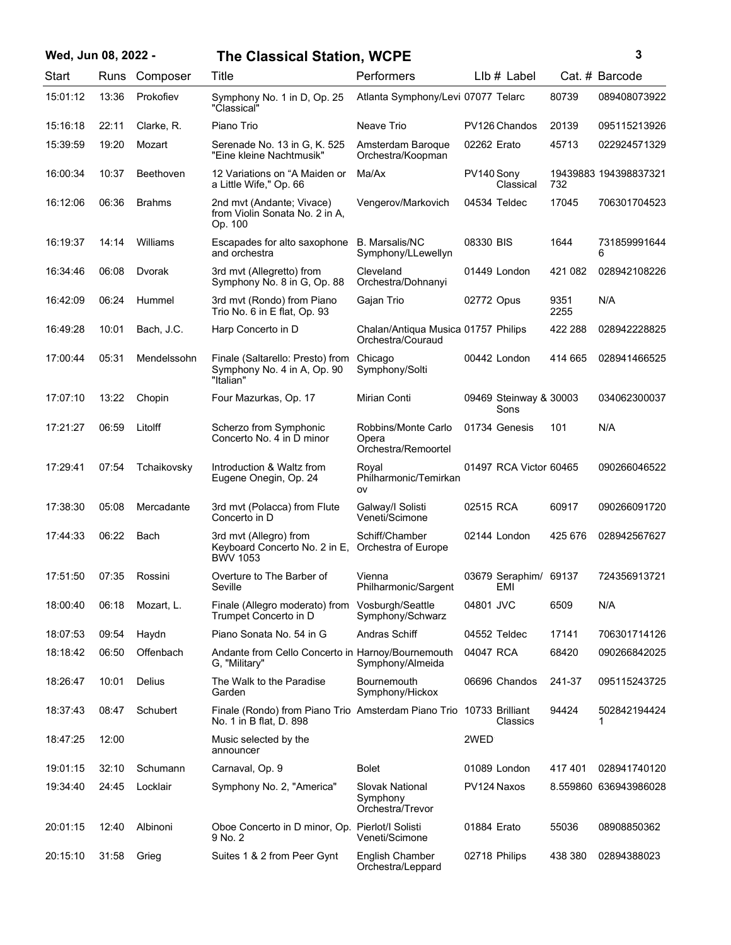## **Wed, Jun 08, 2022 - 3 The Classical Station, WCPE**

| ٦ |  |             |
|---|--|-------------|
|   |  |             |
|   |  |             |
|   |  | ٦<br>I<br>ı |

| Start    | Runs  | Composer      | Title                                                                                          | Performers                                               |             | LIb # Label                    |              | Cat. # Barcode        |
|----------|-------|---------------|------------------------------------------------------------------------------------------------|----------------------------------------------------------|-------------|--------------------------------|--------------|-----------------------|
| 15:01:12 | 13:36 | Prokofiev     | Symphony No. 1 in D, Op. 25<br>"Classical"                                                     | Atlanta Symphony/Levi 07077 Telarc                       |             |                                | 80739        | 089408073922          |
| 15:16:18 | 22:11 | Clarke, R.    | Piano Trio                                                                                     | Neave Trio                                               |             | PV126 Chandos                  | 20139        | 095115213926          |
| 15:39:59 | 19:20 | Mozart        | Serenade No. 13 in G, K. 525<br>"Eine kleine Nachtmusik"                                       | Amsterdam Baroque<br>Orchestra/Koopman                   | 02262 Erato |                                | 45713        | 022924571329          |
| 16:00:34 | 10:37 | Beethoven     | 12 Variations on "A Maiden or<br>a Little Wife," Op. 66                                        | Ma/Ax                                                    | PV140 Sony  | Classical                      | 732          | 19439883 194398837321 |
| 16:12:06 | 06:36 | <b>Brahms</b> | 2nd mvt (Andante; Vivace)<br>from Violin Sonata No. 2 in A.<br>Op. 100                         | Vengerov/Markovich                                       |             | 04534 Teldec                   | 17045        | 706301704523          |
| 16:19:37 | 14:14 | Williams      | Escapades for alto saxophone<br>and orchestra                                                  | <b>B.</b> Marsalis/NC<br>Symphony/LLewellyn              | 08330 BIS   |                                | 1644         | 731859991644<br>6     |
| 16:34:46 | 06:08 | Dvorak        | 3rd mvt (Allegretto) from<br>Symphony No. 8 in G, Op. 88                                       | Cleveland<br>Orchestra/Dohnanyi                          |             | 01449 London                   | 421 082      | 028942108226          |
| 16:42:09 | 06:24 | Hummel        | 3rd mvt (Rondo) from Piano<br>Trio No. 6 in E flat, Op. 93                                     | Gajan Trio                                               | 02772 Opus  |                                | 9351<br>2255 | N/A                   |
| 16:49:28 | 10:01 | Bach, J.C.    | Harp Concerto in D                                                                             | Chalan/Antiqua Musica 01757 Philips<br>Orchestra/Couraud |             |                                | 422 288      | 028942228825          |
| 17:00:44 | 05:31 | Mendelssohn   | Finale (Saltarello: Presto) from<br>Symphony No. 4 in A, Op. 90<br>"Italian"                   | Chicago<br>Symphony/Solti                                |             | 00442 London                   | 414 665      | 028941466525          |
| 17:07:10 | 13:22 | Chopin        | Four Mazurkas, Op. 17                                                                          | <b>Mirian Conti</b>                                      |             | 09469 Steinway & 30003<br>Sons |              | 034062300037          |
| 17:21:27 | 06:59 | Litolff       | Scherzo from Symphonic<br>Concerto No. 4 in D minor                                            | Robbins/Monte Carlo<br>Opera<br>Orchestra/Remoortel      |             | 01734 Genesis                  | 101          | N/A                   |
| 17:29:41 | 07:54 | Tchaikovsky   | Introduction & Waltz from<br>Eugene Onegin, Op. 24                                             | Royal<br>Philharmonic/Temirkan<br>ov                     |             | 01497 RCA Victor 60465         |              | 090266046522          |
| 17:38:30 | 05:08 | Mercadante    | 3rd mvt (Polacca) from Flute<br>Concerto in D                                                  | Galway/I Solisti<br>Veneti/Scimone                       | 02515 RCA   |                                | 60917        | 090266091720          |
| 17:44:33 | 06:22 | Bach          | 3rd mvt (Allegro) from<br>Keyboard Concerto No. 2 in E, Orchestra of Europe<br><b>BWV 1053</b> | Schiff/Chamber                                           |             | 02144 London                   | 425 676      | 028942567627          |
| 17:51:50 | 07:35 | Rossini       | Overture to The Barber of<br>Seville                                                           | Vienna<br>Philharmonic/Sargent                           |             | 03679 Seraphim/ 69137<br>EMI   |              | 724356913721          |
| 18:00:40 | 06:18 | Mozart, L.    | Finale (Allegro moderato) from Vosburgh/Seattle<br>Trumpet Concerto in D                       | Symphony/Schwarz                                         | 04801 JVC   |                                | 6509         | N/A                   |
| 18:07:53 | 09:54 | Haydn         | Piano Sonata No. 54 in G                                                                       | Andras Schiff                                            |             | 04552 Teldec                   | 17141        | 706301714126          |
| 18:18:42 | 06:50 | Offenbach     | Andante from Cello Concerto in Harnoy/Bournemouth<br>G, "Military"                             | Symphony/Almeida                                         | 04047 RCA   |                                | 68420        | 090266842025          |
| 18:26:47 | 10:01 | Delius        | The Walk to the Paradise<br>Garden                                                             | <b>Bournemouth</b><br>Symphony/Hickox                    |             | 06696 Chandos                  | 241-37       | 095115243725          |
| 18:37:43 | 08:47 | Schubert      | Finale (Rondo) from Piano Trio Amsterdam Piano Trio<br>No. 1 in B flat, D. 898                 |                                                          |             | 10733 Brilliant<br>Classics    | 94424        | 502842194424          |
| 18:47:25 | 12:00 |               | Music selected by the<br>announcer                                                             |                                                          | 2WED        |                                |              |                       |
| 19:01:15 | 32:10 | Schumann      | Carnaval, Op. 9                                                                                | <b>Bolet</b>                                             |             | 01089 London                   | 417401       | 028941740120          |
| 19:34:40 | 24:45 | Locklair      | Symphony No. 2, "America"                                                                      | <b>Slovak National</b><br>Symphony<br>Orchestra/Trevor   |             | PV124 Naxos                    |              | 8.559860 636943986028 |
| 20:01:15 | 12:40 | Albinoni      | Oboe Concerto in D minor, Op. Pierlot/I Solisti<br>9 No. 2                                     | Veneti/Scimone                                           | 01884 Erato |                                | 55036        | 08908850362           |
| 20:15:10 | 31:58 | Grieg         | Suites 1 & 2 from Peer Gynt                                                                    | English Chamber<br>Orchestra/Leppard                     |             | 02718 Philips                  | 438 380      | 02894388023           |